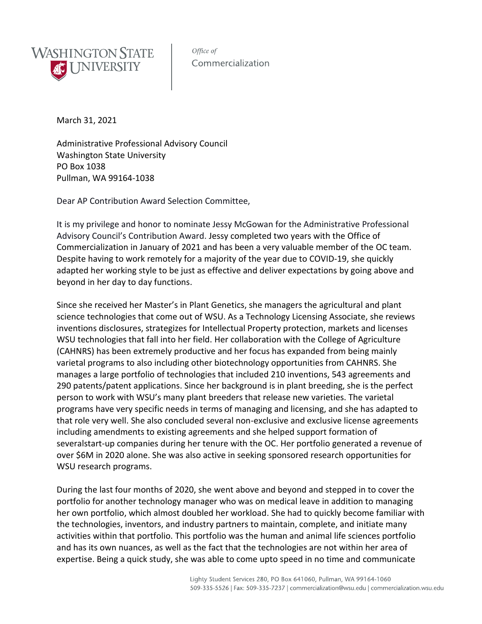

Office of Commercialization

March 31, 2021

Administrative Professional Advisory Council Washington State University PO Box 1038 Pullman, WA 99164-1038

Dear AP Contribution Award Selection Committee,

It is my privilege and honor to nominate Jessy McGowan for the Administrative Professional Advisory Council's Contribution Award. Jessy completed two years with the Office of Commercialization in January of 2021 and has been a very valuable member of the OC team. Despite having to work remotely for a majority of the year due to COVID-19, she quickly adapted her working style to be just as effective and deliver expectations by going above and beyond in her day to day functions.

Since she received her Master's in Plant Genetics, she managers the agricultural and plant science technologies that come out of WSU. As a Technology Licensing Associate, she reviews inventions disclosures, strategizes for Intellectual Property protection, markets and licenses WSU technologies that fall into her field. Her collaboration with the College of Agriculture (CAHNRS) has been extremely productive and her focus has expanded from being mainly varietal programs to also including other biotechnology opportunities from CAHNRS. She manages a large portfolio of technologies that included 210 inventions, 543 agreements and 290 patents/patent applications. Since her background is in plant breeding, she is the perfect person to work with WSU's many plant breeders that release new varieties. The varietal programs have very specific needs in terms of managing and licensing, and she has adapted to that role very well. She also concluded several non-exclusive and exclusive license agreements including amendments to existing agreements and she helped support formation of severalstart-up companies during her tenure with the OC. Her portfolio generated a revenue of over \$6M in 2020 alone. She was also active in seeking sponsored research opportunities for WSU research programs.

During the last four months of 2020, she went above and beyond and stepped in to cover the portfolio for another technology manager who was on medical leave in addition to managing her own portfolio, which almost doubled her workload. She had to quickly become familiar with the technologies, inventors, and industry partners to maintain, complete, and initiate many activities within that portfolio. This portfolio was the human and animal life sciences portfolio and has its own nuances, as well as the fact that the technologies are not within her area of expertise. Being a quick study, she was able to come upto speed in no time and communicate